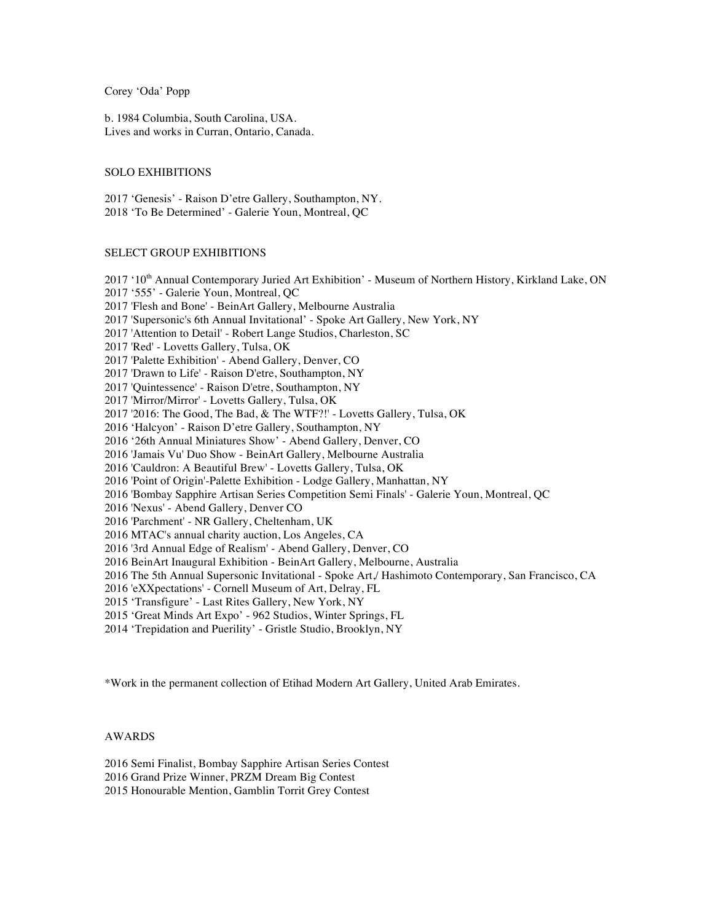Corey 'Oda' Popp

b. 1984 Columbia, South Carolina, USA. Lives and works in Curran, Ontario, Canada.

## SOLO EXHIBITIONS

2017 'Genesis' - Raison D'etre Gallery, Southampton, NY. 2018 'To Be Determined' - Galerie Youn, Montreal, QC

## SELECT GROUP EXHIBITIONS

2017 '10<sup>th</sup> Annual Contemporary Juried Art Exhibition' - Museum of Northern History, Kirkland Lake, ON

2017 '555' - Galerie Youn, Montreal, QC

2017 'Flesh and Bone' - BeinArt Gallery, Melbourne Australia 2017 'Supersonic's 6th Annual Invitational' - Spoke Art Gallery, New York, NY

2017 'Attention to Detail' - Robert Lange Studios, Charleston, SC

2017 'Red' - Lovetts Gallery, Tulsa, OK

2017 'Palette Exhibition' - Abend Gallery, Denver, CO

2017 'Drawn to Life' - Raison D'etre, Southampton, NY

2017 'Quintessence' - Raison D'etre, Southampton, NY

2017 'Mirror/Mirror' - Lovetts Gallery, Tulsa, OK

2017 '2016: The Good, The Bad, & The WTF?!' - Lovetts Gallery, Tulsa, OK

2016 'Halcyon' - Raison D'etre Gallery, Southampton, NY

2016 '26th Annual Miniatures Show' - Abend Gallery, Denver, CO

2016 'Jamais Vu' Duo Show - BeinArt Gallery, Melbourne Australia

2016 'Cauldron: A Beautiful Brew' - Lovetts Gallery, Tulsa, OK

2016 'Point of Origin'-Palette Exhibition - Lodge Gallery, Manhattan, NY

2016 'Bombay Sapphire Artisan Series Competition Semi Finals' - Galerie Youn, Montreal, QC

2016 'Nexus' - Abend Gallery, Denver CO

2016 'Parchment' - NR Gallery, Cheltenham, UK

2016 MTAC's annual charity auction, Los Angeles, CA

2016 '3rd Annual Edge of Realism' - Abend Gallery, Denver, CO

2016 BeinArt Inaugural Exhibition - BeinArt Gallery, Melbourne, Australia

2016 The 5th Annual Supersonic Invitational - Spoke Art,/ Hashimoto Contemporary, San Francisco, CA

2016 'eXXpectations' - Cornell Museum of Art, Delray, FL

2015 'Transfigure' - Last Rites Gallery, New York, NY

2015 'Great Minds Art Expo' - 962 Studios, Winter Springs, FL

2014 'Trepidation and Puerility' - Gristle Studio, Brooklyn, NY

\*Work in the permanent collection of Etihad Modern Art Gallery, United Arab Emirates.

## AWARDS

2016 Semi Finalist, Bombay Sapphire Artisan Series Contest

2016 Grand Prize Winner, PRZM Dream Big Contest

2015 Honourable Mention, Gamblin Torrit Grey Contest